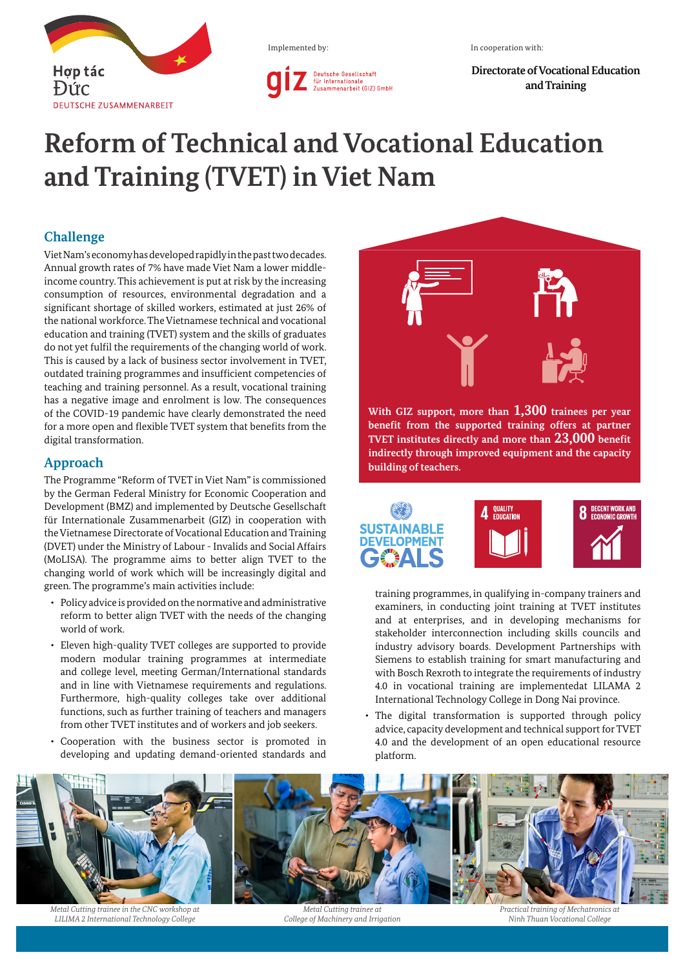

Implemented by:

**Directorate of Vocational Education and Training**

## **Reform of Technical and Vocational Education and Training (TVET) in Viet Nam**

Deutsche Gesellschaft<br>für Internationale<br>Zusammenarbeit (GIZ) GmbH

## **Challenge**

Viet Nam's economy has developed rapidly in the past two decades. Annual growth rates of 7% have made Viet Nam a lower middleincome country. This achievement is put at risk by the increasing consumption of resources, environmental degradation and a significant shortage of skilled workers, estimated at just 26% of the national workforce. The Vietnamese technical and vocational education and training (TVET) system and the skills of graduates do not yet fulfil the requirements of the changing world of work. This is caused by a lack of business sector involvement in TVET, outdated training programmes and insufficient competencies of teaching and training personnel. As a result, vocational training has a negative image and enrolment is low. The consequences of the COVID-19 pandemic have clearly demonstrated the need for a more open and flexible TVET system that benefits from the digital transformation.

## **Approach**

The Programme "Reform of TVET in Viet Nam" is commissioned by the German Federal Ministry for Economic Cooperation and Development (BMZ) and implemented by Deutsche Gesellschaft für Internationale Zusammenarbeit (GIZ) in cooperation with the Vietnamese Directorate of Vocational Education and Training (DVET) under the Ministry of Labour - Invalids and Social Affairs (MoLISA). The programme aims to better align TVET to the changing world of work which will be increasingly digital and green. The programme's main activities include:

- • Policy advice is provided on the normative and administrative reform to better align TVET with the needs of the changing world of work.
- • Eleven high-quality TVET colleges are supported to provide modern modular training programmes at intermediate and college level, meeting German/International standards and in line with Vietnamese requirements and regulations. Furthermore, high-quality colleges take over additional functions, such as further training of teachers and managers from other TVET institutes and of workers and job seekers.
- • Cooperation with the business sector is promoted in developing and updating demand-oriented standards and



**With GIZ support, more than 1,300 trainees per year benefit from the supported training offers at partner TVET institutes directly and more than 23,000 benefit indirectly through improved equipment and the capacity building of teachers.**



training programmes, in qualifying in-company trainers and examiners, in conducting joint training at TVET institutes and at enterprises, and in developing mechanisms for stakeholder interconnection including skills councils and industry advisory boards. Development Partnerships with Siemens to establish training for smart manufacturing and with Bosch Rexroth to integrate the requirements of industry 4.0 in vocational training are implementedat LILAMA 2 International Technology College in Dong Nai province.

The digital transformation is supported through policy advice, capacity development and technical support for TVET 4.0 and the development of an open educational resource platform.



*Metal Cutting trainee in the CNC workshop at LILIMA 2 International Technology College*

*Metal Cutting trainee at College of Machinery and Irrigation*

*Practical training of Mechatronics at Ninh Thuan Vocational College*